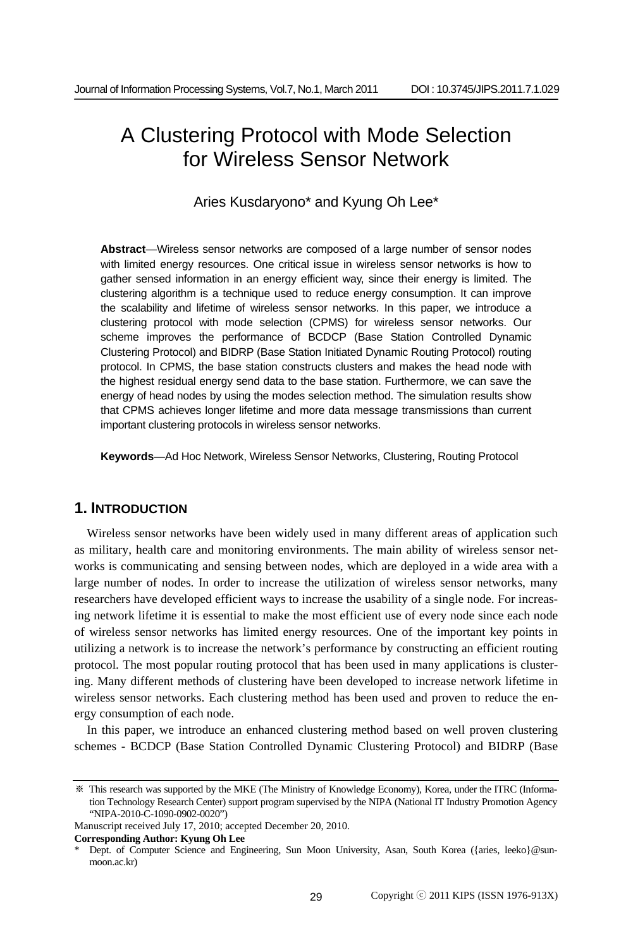# A Clustering Protocol with Mode Selection for Wireless Sensor Network

Aries Kusdaryono\* and Kyung Oh Lee\*

**Abstract**—Wireless sensor networks are composed of a large number of sensor nodes with limited energy resources. One critical issue in wireless sensor networks is how to gather sensed information in an energy efficient way, since their energy is limited. The clustering algorithm is a technique used to reduce energy consumption. It can improve the scalability and lifetime of wireless sensor networks. In this paper, we introduce a clustering protocol with mode selection (CPMS) for wireless sensor networks. Our scheme improves the performance of BCDCP (Base Station Controlled Dynamic Clustering Protocol) and BIDRP (Base Station Initiated Dynamic Routing Protocol) routing protocol. In CPMS, the base station constructs clusters and makes the head node with the highest residual energy send data to the base station. Furthermore, we can save the energy of head nodes by using the modes selection method. The simulation results show that CPMS achieves longer lifetime and more data message transmissions than current important clustering protocols in wireless sensor networks.

**Keywords**—Ad Hoc Network, Wireless Sensor Networks, Clustering, Routing Protocol

# **1. INTRODUCTION**

Wireless sensor networks have been widely used in many different areas of application such as military, health care and monitoring environments. The main ability of wireless sensor networks is communicating and sensing between nodes, which are deployed in a wide area with a large number of nodes. In order to increase the utilization of wireless sensor networks, many researchers have developed efficient ways to increase the usability of a single node. For increasing network lifetime it is essential to make the most efficient use of every node since each node of wireless sensor networks has limited energy resources. One of the important key points in utilizing a network is to increase the network's performance by constructing an efficient routing protocol. The most popular routing protocol that has been used in many applications is clustering. Many different methods of clustering have been developed to increase network lifetime in wireless sensor networks. Each clustering method has been used and proven to reduce the energy consumption of each node.

In this paper, we introduce an enhanced clustering method based on well proven clustering schemes - BCDCP (Base Station Controlled Dynamic Clustering Protocol) and BIDRP (Base

**Corresponding Author: Kyung Oh Lee** 

<sup>※</sup> This research was supported by the MKE (The Ministry of Knowledge Economy), Korea, under the ITRC (Information Technology Research Center) support program supervised by the NIPA (National IT Industry Promotion Agency "NIPA-2010-C-1090-0902-0020")

Manuscript received July 17, 2010; accepted December 20, 2010.

Dept. of Computer Science and Engineering, Sun Moon University, Asan, South Korea ({aries, leeko}@sunmoon.ac.kr)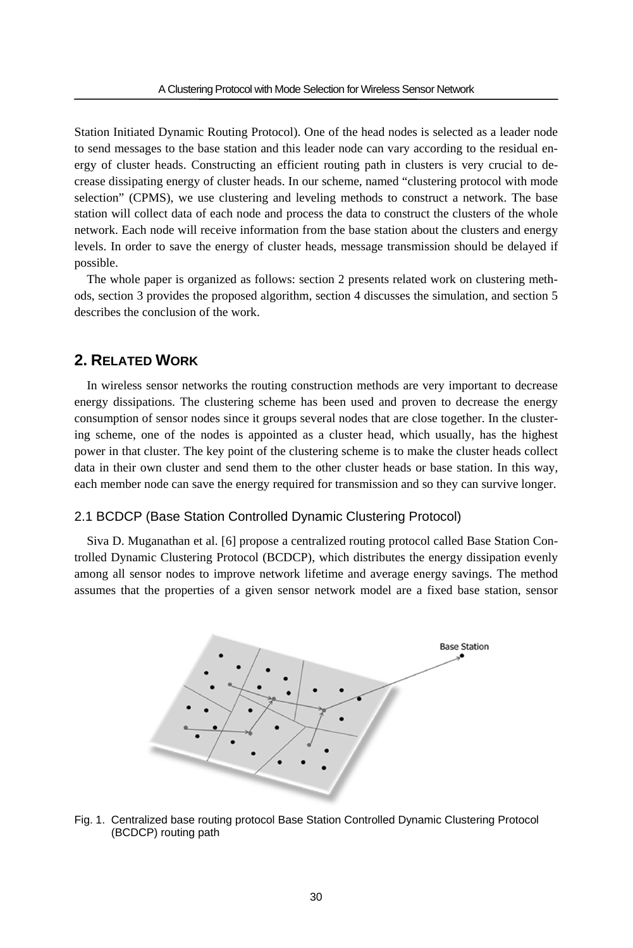Station Initiated Dynamic Routing Protocol). One of the head nodes is selected as a leader node to send messages to the base station and this leader node can vary according to the residual energy of cluster heads. Constructing an efficient routing path in clusters is very crucial to decrease dissipating energy of cluster heads. In our scheme, named "clustering protocol with mode selection" (CPMS), we use clustering and leveling methods to construct a network. The base station will collect data of each node and process the data to construct the clusters of the whole network. Each node will receive information from the base station about the clusters and energy levels. In order to save the energy of cluster heads, message transmission should be delayed if possible.

The whole paper is organized as follows: section 2 presents related work on clustering methods, section 3 provides the proposed algorithm, section 4 discusses the simulation, and section 5 describes the conclusion of the work.

# **2. RELATED WORK**

In wireless sensor networks the routing construction methods are very important to decrease energy dissipations. The clustering scheme has been used and proven to decrease the energy consumption of sensor nodes since it groups several nodes that are close together. In the clustering scheme, one of the nodes is appointed as a cluster head, which usually, has the highest power in that cluster. The key point of the clustering scheme is to make the cluster heads collect data in their own cluster and send them to the other cluster heads or base station. In this way, each member node can save the energy required for transmission and so they can survive longer.

### 2.1 BCDCP (Base Station Controlled Dynamic Clustering Protocol)

Siva D. Muganathan et al. [6] propose a centralized routing protocol called Base Station Controlled Dynamic Clustering Protocol (BCDCP), which distributes the energy dissipation evenly among all sensor nodes to improve network lifetime and average energy savings. The method assumes that the properties of a given sensor network model are a fixed base station, sensor



Fig. 1. Centralized base routing protocol Base Station Controlled Dynamic Clustering Protocol (BCDCP) routing path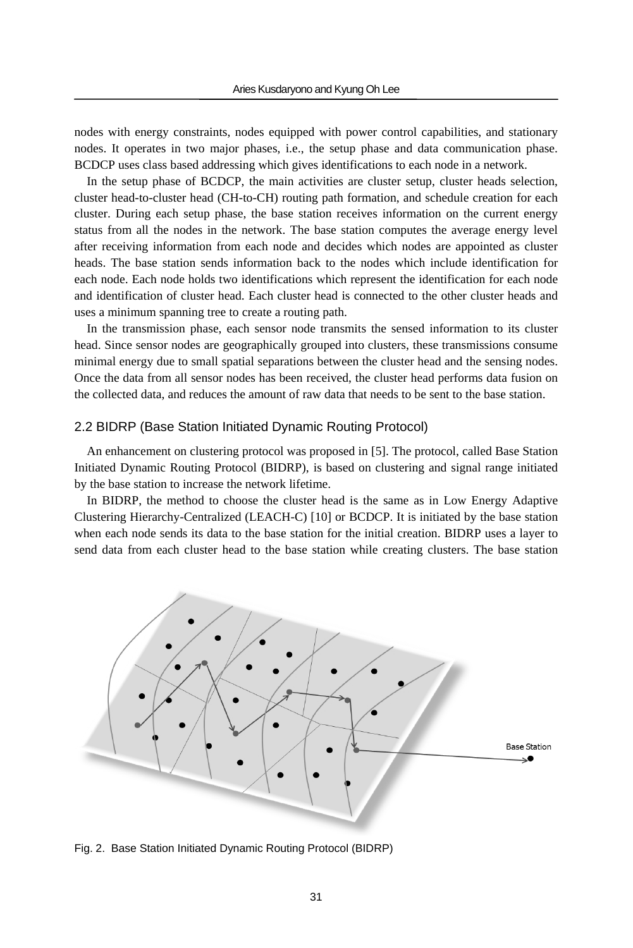nodes with energy constraints, nodes equipped with power control capabilities, and stationary nodes. It operates in two major phases, i.e., the setup phase and data communication phase. BCDCP uses class based addressing which gives identifications to each node in a network.

In the setup phase of BCDCP, the main activities are cluster setup, cluster heads selection, cluster head-to-cluster head (CH-to-CH) routing path formation, and schedule creation for each cluster. During each setup phase, the base station receives information on the current energy status from all the nodes in the network. The base station computes the average energy level after receiving information from each node and decides which nodes are appointed as cluster heads. The base station sends information back to the nodes which include identification for each node. Each node holds two identifications which represent the identification for each node and identification of cluster head. Each cluster head is connected to the other cluster heads and uses a minimum spanning tree to create a routing path.

In the transmission phase, each sensor node transmits the sensed information to its cluster head. Since sensor nodes are geographically grouped into clusters, these transmissions consume minimal energy due to small spatial separations between the cluster head and the sensing nodes. Once the data from all sensor nodes has been received, the cluster head performs data fusion on the collected data, and reduces the amount of raw data that needs to be sent to the base station.

### 2.2 BIDRP (Base Station Initiated Dynamic Routing Protocol)

An enhancement on clustering protocol was proposed in [5]. The protocol, called Base Station Initiated Dynamic Routing Protocol (BIDRP), is based on clustering and signal range initiated by the base station to increase the network lifetime.

In BIDRP, the method to choose the cluster head is the same as in Low Energy Adaptive Clustering Hierarchy-Centralized (LEACH-C) [10] or BCDCP. It is initiated by the base station when each node sends its data to the base station for the initial creation. BIDRP uses a layer to send data from each cluster head to the base station while creating clusters. The base station



Fig. 2. Base Station Initiated Dynamic Routing Protocol (BIDRP)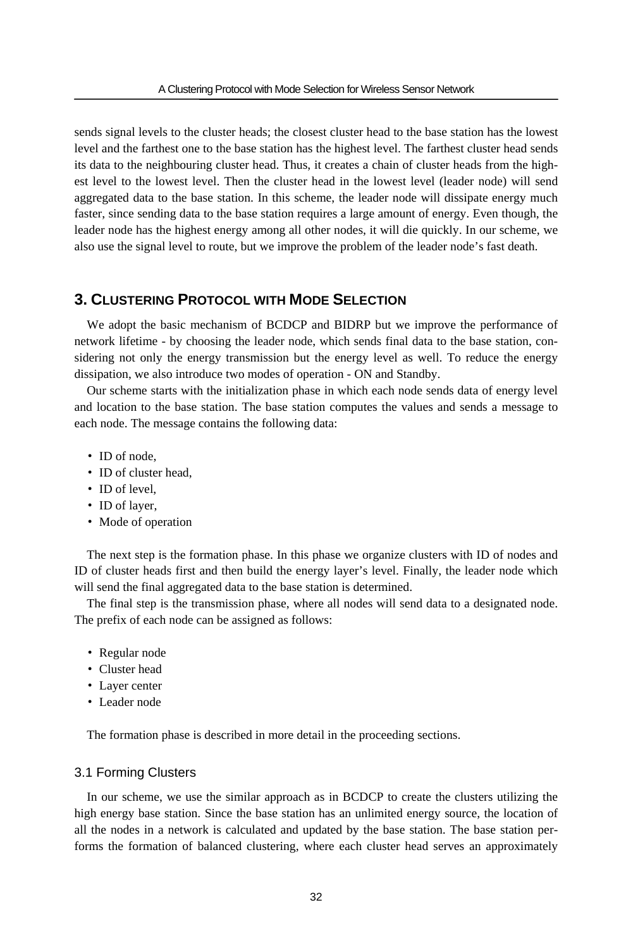sends signal levels to the cluster heads; the closest cluster head to the base station has the lowest level and the farthest one to the base station has the highest level. The farthest cluster head sends its data to the neighbouring cluster head. Thus, it creates a chain of cluster heads from the highest level to the lowest level. Then the cluster head in the lowest level (leader node) will send aggregated data to the base station. In this scheme, the leader node will dissipate energy much faster, since sending data to the base station requires a large amount of energy. Even though, the leader node has the highest energy among all other nodes, it will die quickly. In our scheme, we also use the signal level to route, but we improve the problem of the leader node's fast death.

# **3. CLUSTERING PROTOCOL WITH MODE SELECTION**

We adopt the basic mechanism of BCDCP and BIDRP but we improve the performance of network lifetime - by choosing the leader node, which sends final data to the base station, considering not only the energy transmission but the energy level as well. To reduce the energy dissipation, we also introduce two modes of operation - ON and Standby.

Our scheme starts with the initialization phase in which each node sends data of energy level and location to the base station. The base station computes the values and sends a message to each node. The message contains the following data:

- ID of node.
- ID of cluster head.
- ID of level,
- ID of layer,
- Mode of operation

The next step is the formation phase. In this phase we organize clusters with ID of nodes and ID of cluster heads first and then build the energy layer's level. Finally, the leader node which will send the final aggregated data to the base station is determined.

The final step is the transmission phase, where all nodes will send data to a designated node. The prefix of each node can be assigned as follows:

- Regular node
- Cluster head
- Layer center
- Leader node

The formation phase is described in more detail in the proceeding sections.

### 3.1 Forming Clusters

In our scheme, we use the similar approach as in BCDCP to create the clusters utilizing the high energy base station. Since the base station has an unlimited energy source, the location of all the nodes in a network is calculated and updated by the base station. The base station performs the formation of balanced clustering, where each cluster head serves an approximately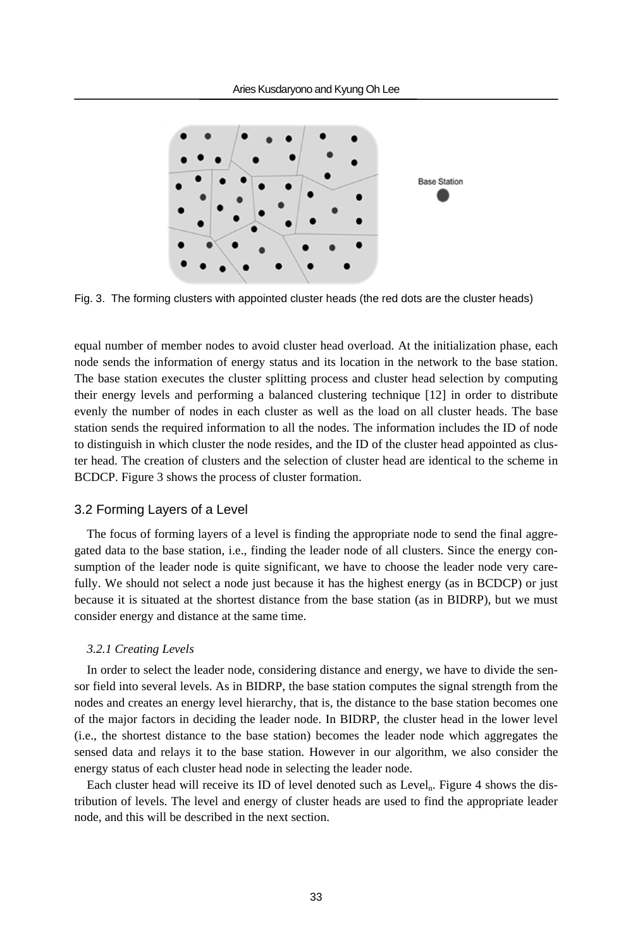

Fig. 3. The forming clusters with appointed cluster heads (the red dots are the cluster heads)

equal number of member nodes to avoid cluster head overload. At the initialization phase, each node sends the information of energy status and its location in the network to the base station. The base station executes the cluster splitting process and cluster head selection by computing their energy levels and performing a balanced clustering technique [12] in order to distribute evenly the number of nodes in each cluster as well as the load on all cluster heads. The base station sends the required information to all the nodes. The information includes the ID of node to distinguish in which cluster the node resides, and the ID of the cluster head appointed as cluster head. The creation of clusters and the selection of cluster head are identical to the scheme in BCDCP. Figure 3 shows the process of cluster formation.

### 3.2 Forming Layers of a Level

The focus of forming layers of a level is finding the appropriate node to send the final aggregated data to the base station, i.e., finding the leader node of all clusters. Since the energy consumption of the leader node is quite significant, we have to choose the leader node very carefully. We should not select a node just because it has the highest energy (as in BCDCP) or just because it is situated at the shortest distance from the base station (as in BIDRP), but we must consider energy and distance at the same time.

### *3.2.1 Creating Levels*

In order to select the leader node, considering distance and energy, we have to divide the sensor field into several levels. As in BIDRP, the base station computes the signal strength from the nodes and creates an energy level hierarchy, that is, the distance to the base station becomes one of the major factors in deciding the leader node. In BIDRP, the cluster head in the lower level (i.e., the shortest distance to the base station) becomes the leader node which aggregates the sensed data and relays it to the base station. However in our algorithm, we also consider the energy status of each cluster head node in selecting the leader node.

Each cluster head will receive its ID of level denoted such as Level<sub>n</sub>. Figure 4 shows the distribution of levels. The level and energy of cluster heads are used to find the appropriate leader node, and this will be described in the next section.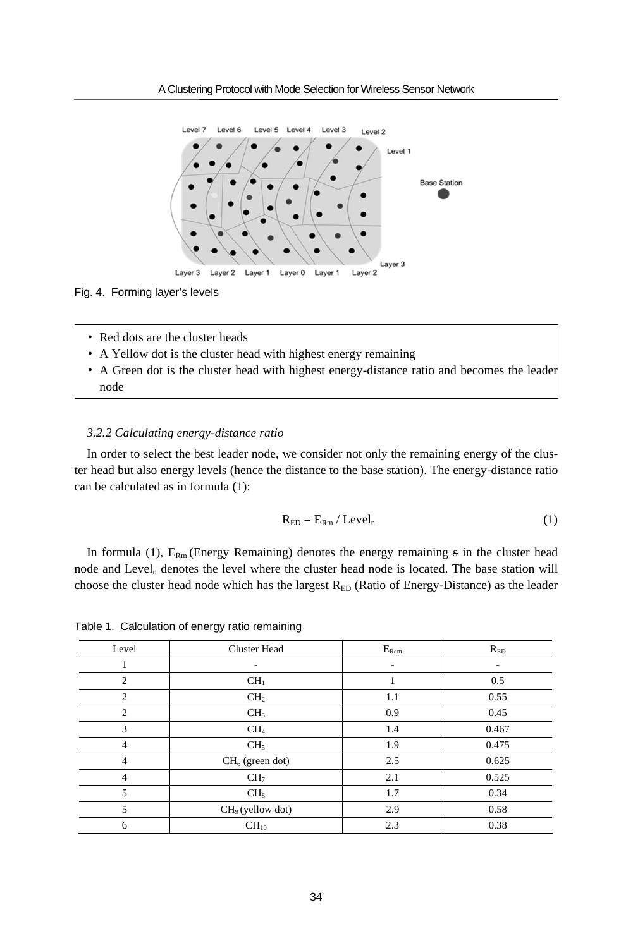

#### Fig. 4. Forming layer's levels

- Red dots are the cluster heads
- A Yellow dot is the cluster head with highest energy remaining
- A Green dot is the cluster head with highest energy-distance ratio and becomes the leader node

### *3.2.2 Calculating energy-distance ratio*

In order to select the best leader node, we consider not only the remaining energy of the cluster head but also energy levels (hence the distance to the base station). The energy-distance ratio can be calculated as in formula (1):

$$
R_{ED} = E_{Rm} / \text{Level}_n \tag{1}
$$

In formula (1),  $E_{Rm}$  (Energy Remaining) denotes the energy remaining  $\frac{1}{5}$  in the cluster head node and Level<sub>n</sub> denotes the level where the cluster head node is located. The base station will choose the cluster head node which has the largest  $R_{ED}$  (Ratio of Energy-Distance) as the leader

| Level          | <b>Cluster Head</b> | $E_{\rm Rem}$ | $R_{ED}$ |
|----------------|---------------------|---------------|----------|
|                |                     | ۰             | ۰.       |
| $\overline{c}$ | CH <sub>1</sub>     | 1             | 0.5      |
| $\overline{c}$ | CH <sub>2</sub>     | 1.1           | 0.55     |
| $\overline{2}$ | CH <sub>3</sub>     | 0.9           | 0.45     |
| 3              | CH <sub>4</sub>     | 1.4           | 0.467    |
| $\overline{4}$ | CH <sub>5</sub>     | 1.9           | 0.475    |
| $\overline{4}$ | $CH_6$ (green dot)  | 2.5           | 0.625    |
| $\overline{4}$ | CH <sub>7</sub>     | 2.1           | 0.525    |
| 5              | CH <sub>8</sub>     | 1.7           | 0.34     |
| 5              | $CH9$ (yellow dot)  | 2.9           | 0.58     |
| 6              | $CH_{10}$           | 2.3           | 0.38     |

Table 1. Calculation of energy ratio remaining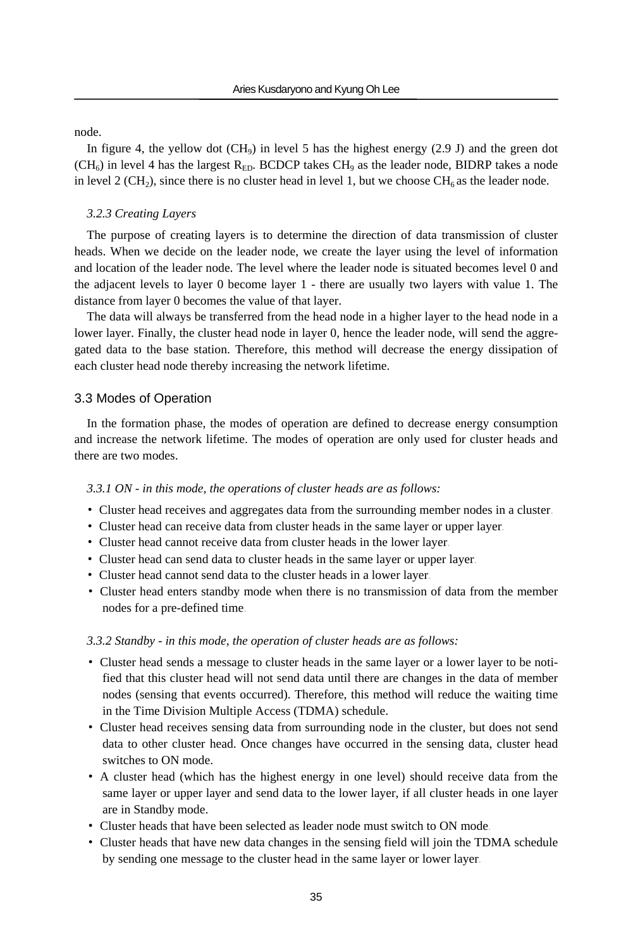node.

In figure 4, the yellow dot  $(CH<sub>9</sub>)$  in level 5 has the highest energy (2.9 J) and the green dot  $(CH<sub>6</sub>)$  in level 4 has the largest R<sub>ED</sub>. BCDCP takes CH<sub>9</sub> as the leader node, BIDRP takes a node in level 2 (CH<sub>2</sub>), since there is no cluster head in level 1, but we choose CH<sub>6</sub> as the leader node.

#### *3.2.3 Creating Layers*

The purpose of creating layers is to determine the direction of data transmission of cluster heads. When we decide on the leader node, we create the layer using the level of information and location of the leader node. The level where the leader node is situated becomes level 0 and the adjacent levels to layer 0 become layer 1 - there are usually two layers with value 1. The distance from layer 0 becomes the value of that layer.

The data will always be transferred from the head node in a higher layer to the head node in a lower layer. Finally, the cluster head node in layer 0, hence the leader node, will send the aggregated data to the base station. Therefore, this method will decrease the energy dissipation of each cluster head node thereby increasing the network lifetime.

### 3.3 Modes of Operation

In the formation phase, the modes of operation are defined to decrease energy consumption and increase the network lifetime. The modes of operation are only used for cluster heads and there are two modes.

#### *3.3.1 ON - in this mode, the operations of cluster heads are as follows:*

- Cluster head receives and aggregates data from the surrounding member nodes in a cluster.
- Cluster head can receive data from cluster heads in the same layer or upper layer.
- Cluster head cannot receive data from cluster heads in the lower layer.
- Cluster head can send data to cluster heads in the same layer or upper layer.
- Cluster head cannot send data to the cluster heads in a lower layer.
- Cluster head enters standby mode when there is no transmission of data from the member nodes for a pre-defined time.

#### *3.3.2 Standby - in this mode, the operation of cluster heads are as follows:*

- Cluster head sends a message to cluster heads in the same layer or a lower layer to be notified that this cluster head will not send data until there are changes in the data of member nodes (sensing that events occurred). Therefore, this method will reduce the waiting time in the Time Division Multiple Access (TDMA) schedule.
- Cluster head receives sensing data from surrounding node in the cluster, but does not send data to other cluster head. Once changes have occurred in the sensing data, cluster head switches to ON mode.
- A cluster head (which has the highest energy in one level) should receive data from the same layer or upper layer and send data to the lower layer, if all cluster heads in one layer are in Standby mode.
- Cluster heads that have been selected as leader node must switch to ON mode.
- Cluster heads that have new data changes in the sensing field will join the TDMA schedule by sending one message to the cluster head in the same layer or lower layer.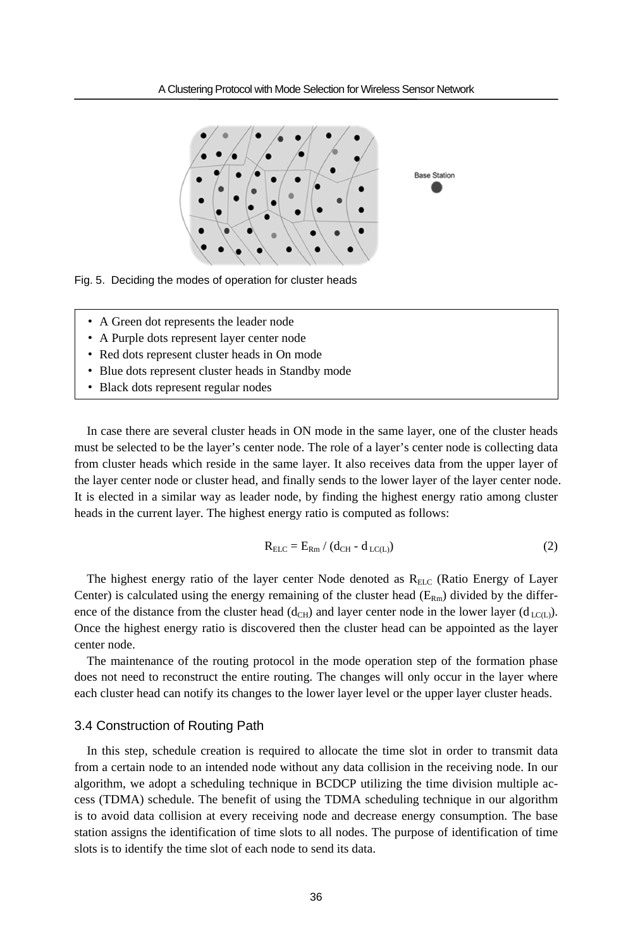

Fig. 5. Deciding the modes of operation for cluster heads

- A Green dot represents the leader node
- A Purple dots represent layer center node
- Red dots represent cluster heads in On mode
- Blue dots represent cluster heads in Standby mode
- Black dots represent regular nodes

In case there are several cluster heads in ON mode in the same layer, one of the cluster heads must be selected to be the layer's center node. The role of a layer's center node is collecting data from cluster heads which reside in the same layer. It also receives data from the upper layer of the layer center node or cluster head, and finally sends to the lower layer of the layer center node. It is elected in a similar way as leader node, by finding the highest energy ratio among cluster heads in the current layer. The highest energy ratio is computed as follows:

$$
R_{\text{ELC}} = E_{\text{Rm}} / (d_{\text{CH}} - d_{\text{LC(L)}})
$$
 (2)

The highest energy ratio of the layer center Node denoted as  $R_{ELC}$  (Ratio Energy of Layer Center) is calculated using the energy remaining of the cluster head  $(E_{Rm})$  divided by the difference of the distance from the cluster head (d<sub>CH</sub>) and layer center node in the lower layer (d<sub>LC(L)</sub>). Once the highest energy ratio is discovered then the cluster head can be appointed as the layer center node.

The maintenance of the routing protocol in the mode operation step of the formation phase does not need to reconstruct the entire routing. The changes will only occur in the layer where each cluster head can notify its changes to the lower layer level or the upper layer cluster heads.

#### 3.4 Construction of Routing Path

In this step, schedule creation is required to allocate the time slot in order to transmit data from a certain node to an intended node without any data collision in the receiving node. In our algorithm, we adopt a scheduling technique in BCDCP utilizing the time division multiple access (TDMA) schedule. The benefit of using the TDMA scheduling technique in our algorithm is to avoid data collision at every receiving node and decrease energy consumption. The base station assigns the identification of time slots to all nodes. The purpose of identification of time slots is to identify the time slot of each node to send its data.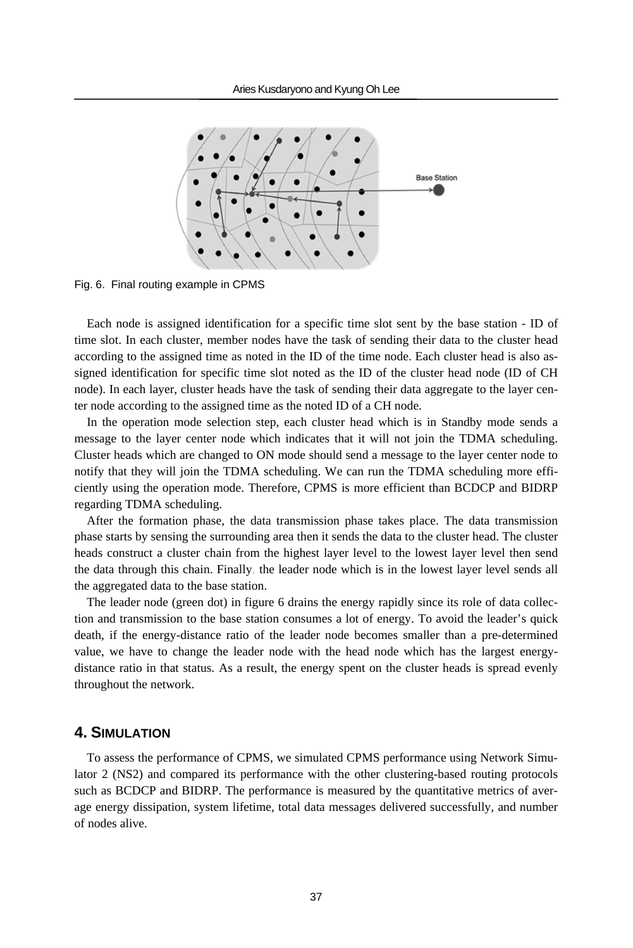

Fig. 6. Final routing example in CPMS

Each node is assigned identification for a specific time slot sent by the base station - ID of time slot. In each cluster, member nodes have the task of sending their data to the cluster head according to the assigned time as noted in the ID of the time node. Each cluster head is also assigned identification for specific time slot noted as the ID of the cluster head node (ID of CH node). In each layer, cluster heads have the task of sending their data aggregate to the layer center node according to the assigned time as the noted ID of a CH node.

In the operation mode selection step, each cluster head which is in Standby mode sends a message to the layer center node which indicates that it will not join the TDMA scheduling. Cluster heads which are changed to ON mode should send a message to the layer center node to notify that they will join the TDMA scheduling. We can run the TDMA scheduling more efficiently using the operation mode. Therefore, CPMS is more efficient than BCDCP and BIDRP regarding TDMA scheduling.

After the formation phase, the data transmission phase takes place. The data transmission phase starts by sensing the surrounding area then it sends the data to the cluster head. The cluster heads construct a cluster chain from the highest layer level to the lowest layer level then send the data through this chain. Finally, the leader node which is in the lowest layer level sends all the aggregated data to the base station.

The leader node (green dot) in figure 6 drains the energy rapidly since its role of data collection and transmission to the base station consumes a lot of energy. To avoid the leader's quick death, if the energy-distance ratio of the leader node becomes smaller than a pre-determined value, we have to change the leader node with the head node which has the largest energydistance ratio in that status. As a result, the energy spent on the cluster heads is spread evenly throughout the network.

## **4. SIMULATION**

To assess the performance of CPMS, we simulated CPMS performance using Network Simulator 2 (NS2) and compared its performance with the other clustering-based routing protocols such as BCDCP and BIDRP. The performance is measured by the quantitative metrics of average energy dissipation, system lifetime, total data messages delivered successfully, and number of nodes alive.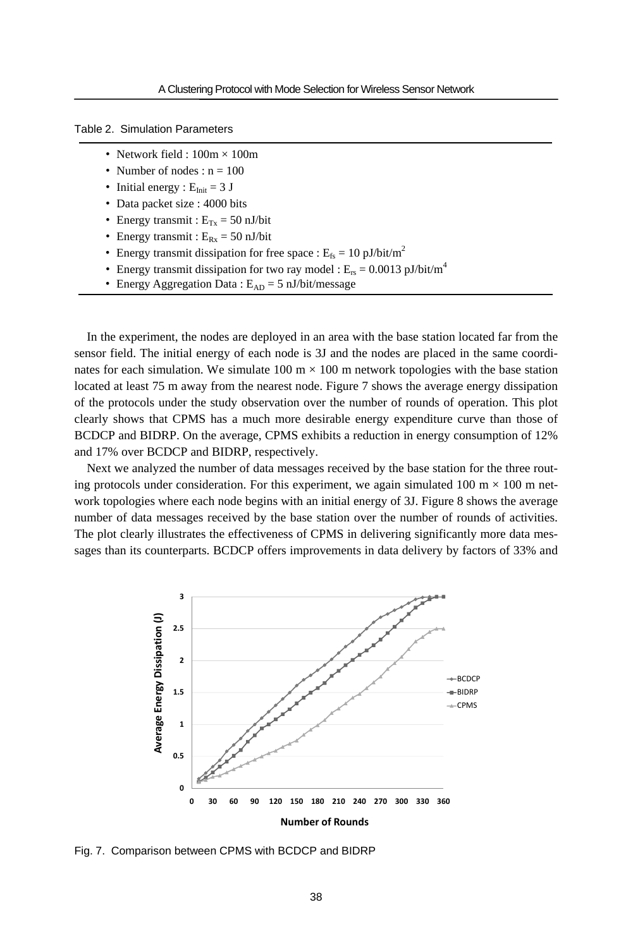Table 2. Simulation Parameters

- Network field :  $100m \times 100m$
- Number of nodes :  $n = 100$
- Initial energy :  $E_{Init} = 3$  J
- Data packet size : 4000 bits
- Energy transmit :  $E_{Tx} = 50$  nJ/bit
- Energy transmit :  $E_{Rx} = 50$  nJ/bit
- Energy transmit dissipation for free space :  $E_{fs} = 10 \text{ pJ/bit/m}^2$
- Energy transmit dissipation for two ray model :  $E_{rs} = 0.0013 \text{ pJ/bit/m}^4$
- Energy Aggregation Data :  $E_{AD} = 5$  nJ/bit/message

In the experiment, the nodes are deployed in an area with the base station located far from the sensor field. The initial energy of each node is 3J and the nodes are placed in the same coordinates for each simulation. We simulate  $100 \text{ m} \times 100 \text{ m}$  network topologies with the base station located at least 75 m away from the nearest node. Figure 7 shows the average energy dissipation of the protocols under the study observation over the number of rounds of operation. This plot clearly shows that CPMS has a much more desirable energy expenditure curve than those of BCDCP and BIDRP. On the average, CPMS exhibits a reduction in energy consumption of 12% and 17% over BCDCP and BIDRP, respectively.

Next we analyzed the number of data messages received by the base station for the three routing protocols under consideration. For this experiment, we again simulated 100 m  $\times$  100 m network topologies where each node begins with an initial energy of 3J. Figure 8 shows the average number of data messages received by the base station over the number of rounds of activities. The plot clearly illustrates the effectiveness of CPMS in delivering significantly more data messages than its counterparts. BCDCP offers improvements in data delivery by factors of 33% and



Fig. 7. Comparison between CPMS with BCDCP and BIDRP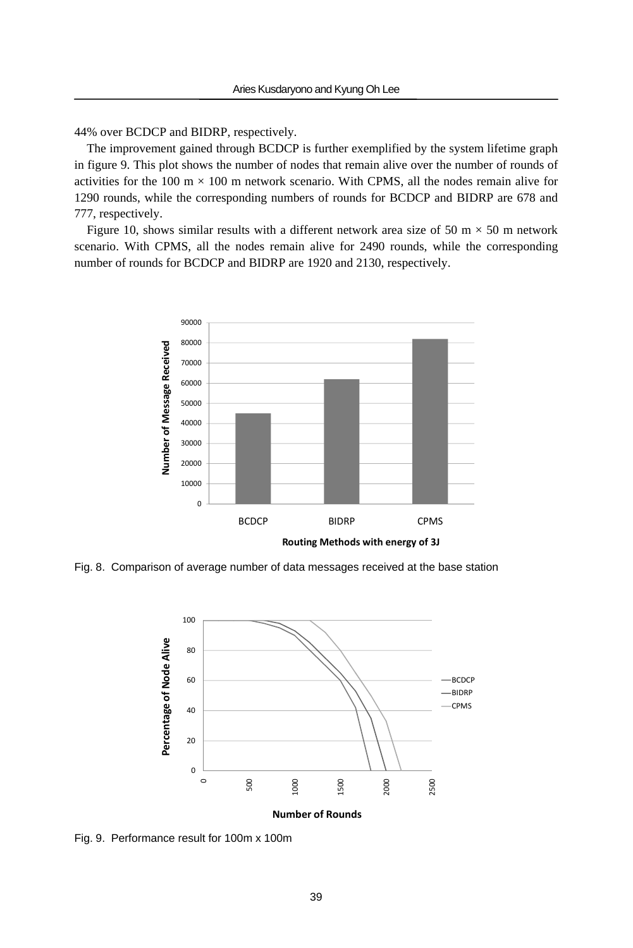44% over BCDCP and BIDRP, respectively.

The improvement gained through BCDCP is further exemplified by the system lifetime graph in figure 9. This plot shows the number of nodes that remain alive over the number of rounds of activities for the 100 m  $\times$  100 m network scenario. With CPMS, all the nodes remain alive for 1290 rounds, while the corresponding numbers of rounds for BCDCP and BIDRP are 678 and 777, respectively.

Figure 10, shows similar results with a different network area size of 50 m  $\times$  50 m network scenario. With CPMS, all the nodes remain alive for 2490 rounds, while the corresponding number of rounds for BCDCP and BIDRP are 1920 and 2130, respectively.



Fig. 8. Comparison of average number of data messages received at the base station



Fig. 9. Performance result for 100m x 100m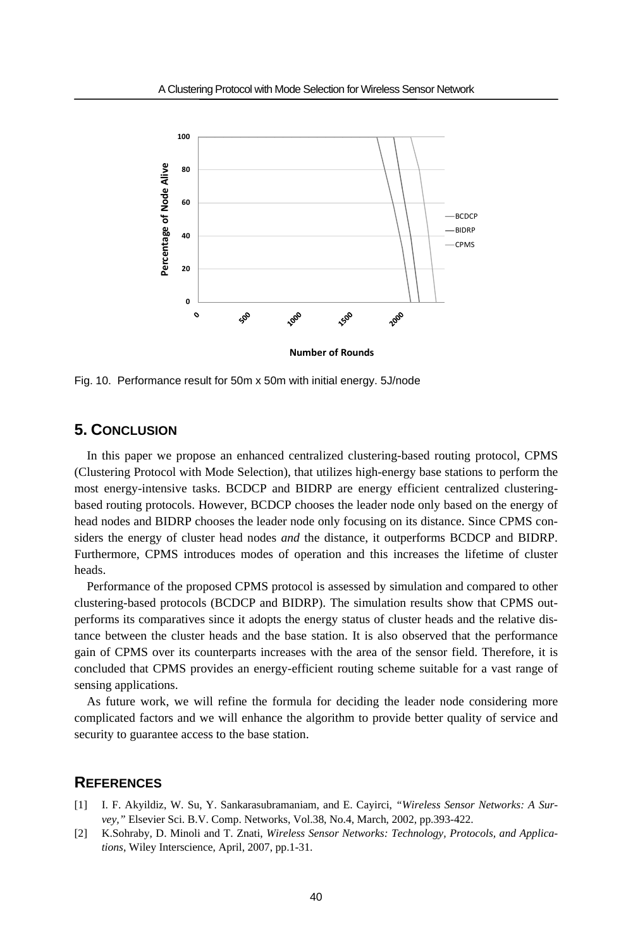

Fig. 10. Performance result for 50m x 50m with initial energy. 5J/node

### **5. CONCLUSION**

In this paper we propose an enhanced centralized clustering-based routing protocol, CPMS (Clustering Protocol with Mode Selection), that utilizes high-energy base stations to perform the most energy-intensive tasks. BCDCP and BIDRP are energy efficient centralized clusteringbased routing protocols. However, BCDCP chooses the leader node only based on the energy of head nodes and BIDRP chooses the leader node only focusing on its distance. Since CPMS considers the energy of cluster head nodes *and* the distance, it outperforms BCDCP and BIDRP. Furthermore, CPMS introduces modes of operation and this increases the lifetime of cluster heads.

Performance of the proposed CPMS protocol is assessed by simulation and compared to other clustering-based protocols (BCDCP and BIDRP). The simulation results show that CPMS outperforms its comparatives since it adopts the energy status of cluster heads and the relative distance between the cluster heads and the base station. It is also observed that the performance gain of CPMS over its counterparts increases with the area of the sensor field. Therefore, it is concluded that CPMS provides an energy-efficient routing scheme suitable for a vast range of sensing applications.

As future work, we will refine the formula for deciding the leader node considering more complicated factors and we will enhance the algorithm to provide better quality of service and security to guarantee access to the base station.

# **REFERENCES**

- [1] I. F. Akyildiz, W. Su, Y. Sankarasubramaniam, and E. Cayirci, *"Wireless Sensor Networks: A Survey,"* Elsevier Sci. B.V. Comp. Networks, Vol.38, No.4, March, 2002, pp.393-422.
- [2] K.Sohraby, D. Minoli and T. Znati, *Wireless Sensor Networks: Technology, Protocols, and Applications*, Wiley Interscience, April, 2007, pp.1-31.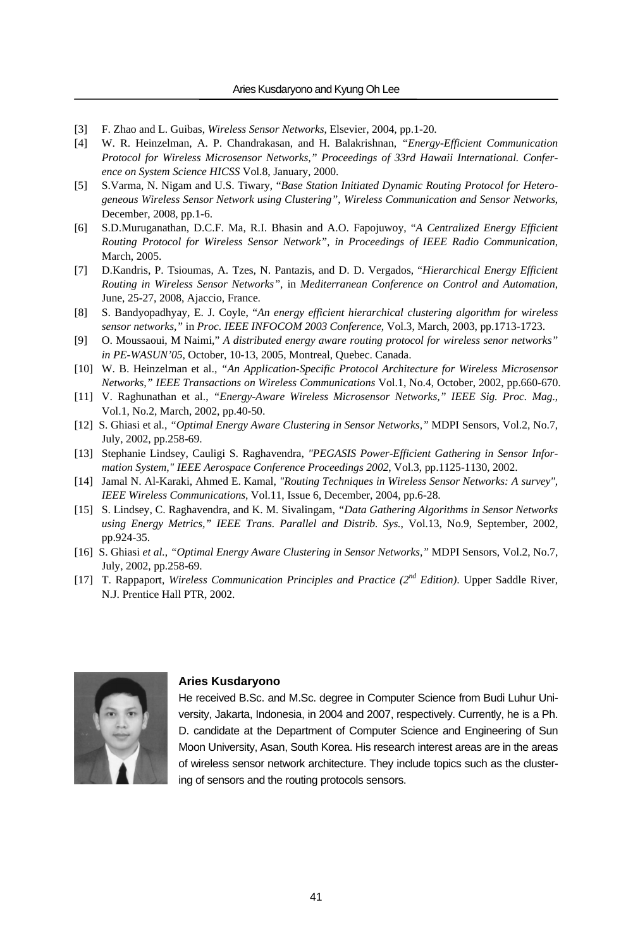- [3] F. Zhao and L. Guibas, *Wireless Sensor Networks*, Elsevier, 2004, pp.1-20.
- [4] W. R. Heinzelman, A. P. Chandrakasan, and H. Balakrishnan, *"Energy-Efficient Communication Protocol for Wireless Microsensor Networks," Proceedings of 33rd Hawaii International. Conference on System Science HICSS* Vol.8, January, 2000.
- [5] S.Varma, N. Nigam and U.S. Tiwary, "*Base Station Initiated Dynamic Routing Protocol for Heterogeneous Wireless Sensor Network using Clustering"*, *Wireless Communication and Sensor Networks*, December, 2008, pp.1-6.
- [6] S.D.Muruganathan, D.C.F. Ma, R.I. Bhasin and A.O. Fapojuwoy, "*A Centralized Energy Efficient Routing Protocol for Wireless Sensor Network"*, *in Proceedings of IEEE Radio Communication*, March, 2005.
- [7] D.Kandris, P. Tsioumas, A. Tzes, N. Pantazis, and D. D. Vergados, "*Hierarchical Energy Efficient Routing in Wireless Sensor Networks"*, in *Mediterranean Conference on Control and Automation*, June, 25-27, 2008, Ajaccio, France.
- [8] S. Bandyopadhyay, E. J. Coyle, "*An energy efficient hierarchical clustering algorithm for wireless sensor networks,"* in *Proc. IEEE INFOCOM 2003 Conference*, Vol.3, March, 2003, pp.1713-1723.
- [9] O. Moussaoui, M Naimi," *A distributed energy aware routing protocol for wireless senor networks" in PE-WASUN'05*, October, 10-13, 2005, Montreal, Quebec. Canada.
- [10] W. B. Heinzelman et al., *"An Application-Specific Protocol Architecture for Wireless Microsensor Networks," IEEE Transactions on Wireless Communications* Vol.1, No.4, October, 2002, pp.660-670.
- [11] V. Raghunathan et al., *"Energy-Aware Wireless Microsensor Networks," IEEE Sig. Proc. Mag.*, Vol.1, No.2, March, 2002, pp.40-50.
- [12] S. Ghiasi et al*.*, *"Optimal Energy Aware Clustering in Sensor Networks,"* MDPI Sensors, Vol.2, No.7, July, 2002, pp.258-69.
- [13] Stephanie Lindsey, Cauligi S. Raghavendra, *"PEGASIS Power-Efficient Gathering in Sensor Information System," IEEE Aerospace Conference Proceedings 2002*, Vol.3, pp.1125-1130, 2002.
- [14] Jamal N. Al-Karaki, Ahmed E. Kamal, *"Routing Techniques in Wireless Sensor Networks: A survey", IEEE Wireless Communications*, Vol.11, Issue 6, December, 2004, pp.6-28.
- [15] S. Lindsey, C. Raghavendra, and K. M. Sivalingam, *"Data Gathering Algorithms in Sensor Networks using Energy Metrics," IEEE Trans. Parallel and Distrib. Sys.*, Vol.13, No.9, September, 2002, pp.924-35.
- [16] S. Ghiasi *et al.*, *"Optimal Energy Aware Clustering in Sensor Networks,"* MDPI Sensors, Vol.2, No.7, July, 2002, pp.258-69.
- [17] T. Rappaport, *Wireless Communication Principles and Practice (2nd Edition)*. Upper Saddle River, N.J. Prentice Hall PTR, 2002.



#### **Aries Kusdaryono**

He received B.Sc. and M.Sc. degree in Computer Science from Budi Luhur University, Jakarta, Indonesia, in 2004 and 2007, respectively. Currently, he is a Ph. D. candidate at the Department of Computer Science and Engineering of Sun Moon University, Asan, South Korea. His research interest areas are in the areas of wireless sensor network architecture. They include topics such as the clustering of sensors and the routing protocols sensors.